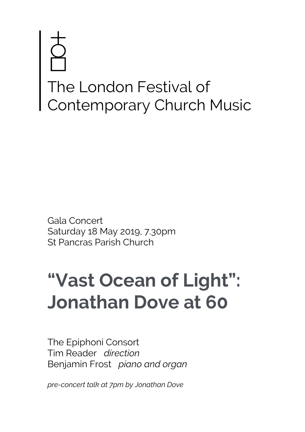# The London Festival of Contemporary Church Music

Gala Concert Saturday 18 May 2019, 7.30pm St Pancras Parish Church

# **"Vast Ocean of Light": Jonathan Dove at 60**

The Epiphoni Consort Tim Reader *direction* Benjamin Frost *piano and organ*

*pre-concert talk at 7pm by Jonathan Dove*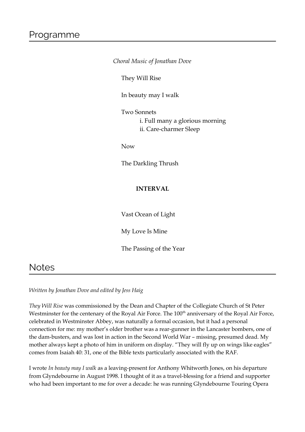*Choral Music of Jonathan Dove* They Will Rise In beauty may I walk Two Sonnets i. Full many a glorious morning ii. Care-charmer Sleep Now The Darkling Thrush **INTERVAL**

Vast Ocean of Light

My Love Is Mine

The Passing of the Year

# **Notes**

*Written by Jonathan Dove and edited by Jess Haig*

*They Will Rise* was commissioned by the Dean and Chapter of the Collegiate Church of St Peter Westminster for the centenary of the Royal Air Force. The 100<sup>th</sup> anniversary of the Royal Air Force, celebrated in Westminster Abbey, was naturally a formal occasion, but it had a personal connection for me: my mother's older brother was a rear-gunner in the Lancaster bombers, one of the dam-busters, and was lost in action in the Second World War – missing, presumed dead. My mother always kept a photo of him in uniform on display. "They will fly up on wings like eagles" comes from Isaiah 40: 31, one of the Bible texts particularly associated with the RAF.

I wrote *In beauty may I walk* as a leaving-present for Anthony Whitworth Jones, on his departure from Glyndebourne in August 1998. I thought of it as a travel-blessing for a friend and supporter who had been important to me for over a decade: he was running Glyndebourne Touring Opera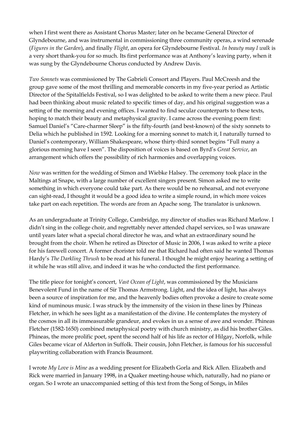when I first went there as Assistant Chorus Master; later on he became General Director of Glyndebourne, and was instrumental in commissioning three community operas, a wind serenade (*Figures in the Garden*), and finally *Flight*, an opera for Glyndebourne Festival. *In beauty may I walk* is a very short thank-you for so much. Its first performance was at Anthony's leaving party, when it was sung by the Glyndebourne Chorus conducted by Andrew Davis.

*Two Sonnets* was commissioned by The Gabrieli Consort and Players. Paul McCreesh and the group gave some of the most thrilling and memorable concerts in my five-year period as Artistic Director of the Spitalfields Festival, so I was delighted to be asked to write them a new piece. Paul had been thinking about music related to specific times of day, and his original suggestion was a setting of the morning and evening offices. I wanted to find secular counterparts to these texts, hoping to match their beauty and metaphysical gravity. I came across the evening poem first: Samuel Daniel's "Care-charmer Sleep" is the fifty-fourth (and best-known) of the sixty sonnets to Delia which he published in 1592. Looking for a morning sonnet to match it, I naturally turned to Daniel's contemporary, William Shakespeare, whose thirty-third sonnet begins "Full many a glorious morning have I seen". The disposition of voices is based on Byrd's *Great Service*, an arrangement which offers the possibility of rich harmonies and overlapping voices.

*Now* was written for the wedding of Simon and Wiebke Halsey. The ceremony took place in the Maltings at Snape, with a large number of excellent singers present. Simon asked me to write something in which everyone could take part. As there would be no rehearsal, and not everyone can sight-read, I thought it would be a good idea to write a simple round, in which more voices take part on each repetition. The words are from an Apache song. The translator is unknown.

As an undergraduate at Trinity College, Cambridge, my director of studies was Richard Marlow. I didn't sing in the college choir, and regrettably never attended chapel services, so I was unaware until years later what a special choral director he was, and what an extraordinary sound he brought from the choir. When he retired as Director of Music in 2006, I was asked to write a piece for his farewell concert. A former chorister told me that Richard had often said he wanted Thomas Hardy's *The Darkling Thrush* to be read at his funeral. I thought he might enjoy hearing a setting of it while he was still alive, and indeed it was he who conducted the first performance.

The title piece for tonight's concert, *Vast Ocean of Light*, was commissioned by the Musicians Benevolent Fund in the name of Sir Thomas Armstrong. Light, and the idea of light, has always been a source of inspiration for me, and the heavenly bodies often provoke a desire to create some kind of numinous music. I was struck by the immensity of the vision in these lines by Phineas Fletcher, in which he sees light as a manifestation of the divine. He contemplates the mystery of the cosmos in all its immeasurable grandeur, and evokes in us a sense of awe and wonder. Phineas Fletcher (1582-1650) combined metaphysical poetry with church ministry, as did his brother Giles. Phineas, the more prolific poet, spent the second half of his life as rector of Hilgay, Norfolk, while Giles became vicar of Alderton in Suffolk. Their cousin, John Fletcher, is famous for his successful playwriting collaboration with Francis Beaumont.

I wrote *My Love is Mine* as a wedding present for Elizabeth Gorla and Rick Allen. Elizabeth and Rick were married in January 1998, in a Quaker meeting-house which, naturally, had no piano or organ. So I wrote an unaccompanied setting of this text from the Song of Songs, in Miles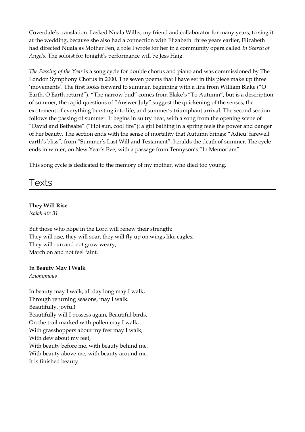Coverdale's translation. I asked Nuala Willis, my friend and collaborator for many years, to sing it at the wedding, because she also had a connection with Elizabeth: three years earlier, Elizabeth had directed Nuala as Mother Fen, a role I wrote for her in a community opera called *In Search of Angels*. The soloist for tonight's performance will be Jess Haig.

*The Passing of the Year* is a song cycle for double chorus and piano and was commissioned by The London Symphony Chorus in 2000. The seven poems that I have set in this piece make up three 'movements'. The first looks forward to summer, beginning with a line from William Blake ("O Earth, O Earth return!"). "The narrow bud" comes from Blake's "To Autumn", but is a description of summer; the rapid questions of "Answer July" suggest the quickening of the senses, the excitement of everything bursting into life, and summer's triumphant arrival. The second section follows the passing of summer. It begins in sultry heat, with a song from the opening scene of "David and Bethsabe" ("Hot sun, cool fire"): a girl bathing in a spring feels the power and danger of her beauty. The section ends with the sense of mortality that Autumn brings: "Adieu! farewell earth's bliss", from "Summer's Last Will and Testament", heralds the death of summer. The cycle ends in winter, on New Year's Eve, with a passage from Tennyson's "In Memoriam".

This song cycle is dedicated to the memory of my mother, who died too young.

# Texts

# **They Will Rise**

*Isaiah 40: 31*

But those who hope in the Lord will renew their strength; They will rise, they will soar, they will fly up on wings like eagles; They will run and not grow weary; March on and not feel faint.

# **In Beauty May I Walk**

*Anonymous*

In beauty may I walk, all day long may I walk, Through returning seasons, may I walk. Beautifully, joyful! Beautifully will I possess again, Beautiful birds, On the trail marked with pollen may I walk, With grasshoppers about my feet may I walk, With dew about my feet, With beauty before me, with beauty behind me, With beauty above me, with beauty around me. It is finished beauty.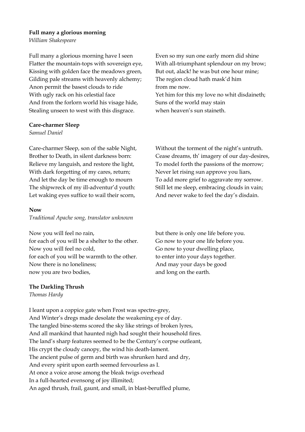## **Full many a glorious morning**

*William Shakespeare*

Full many a glorious morning have I seen Flatter the mountain-tops with sovereign eye, Kissing with golden face the meadows green, Gilding pale streams with heavenly alchemy; Anon permit the basest clouds to ride With ugly rack on his celestial face And from the forlorn world his visage hide, Stealing unseen to west with this disgrace.

## **Care-charmer Sleep**

*Samuel Daniel*

Care-charmer Sleep, son of the sable Night, Brother to Death, in silent darkness born: Relieve my languish, and restore the light, With dark forgetting of my cares, return; And let the day be time enough to mourn The shipwreck of my ill-adventur'd youth: Let waking eyes suffice to wail their scorn,

## **Now**

*Traditional Apache song, translator unknown*

Now you will feel no rain, for each of you will be a shelter to the other. Now you will feel no cold, for each of you will be warmth to the other. Now there is no loneliness; now you are two bodies,

Even so my sun one early morn did shine With all-triumphant splendour on my brow; But out, alack! he was but one hour mine; The region cloud hath mask'd him from me now. Yet him for this my love no whit disdaineth; Suns of the world may stain when heaven's sun staineth.

Without the torment of the night's untruth. Cease dreams, th' imagery of our day-desires, To model forth the passions of the morrow; Never let rising sun approve you liars, To add more grief to aggravate my sorrow. Still let me sleep, embracing clouds in vain; And never wake to feel the day's disdain.

but there is only one life before you. Go now to your one life before you. Go now to your dwelling place, to enter into your days together. And may your days be good and long on the earth.

#### **The Darkling Thrush**

*Thomas Hardy*

I leant upon a coppice gate when Frost was spectre-grey, And Winter's dregs made desolate the weakening eye of day. The tangled bine-stems scored the sky like strings of broken lyres, And all mankind that haunted nigh had sought their household fires. The land's sharp features seemed to be the Century's corpse outleant, His crypt the cloudy canopy, the wind his death-lament. The ancient pulse of germ and birth was shrunken hard and dry, And every spirit upon earth seemed fervourless as I. At once a voice arose among the bleak twigs overhead In a full-hearted evensong of joy illimited; An aged thrush, frail, gaunt, and small, in blast-beruffled plume,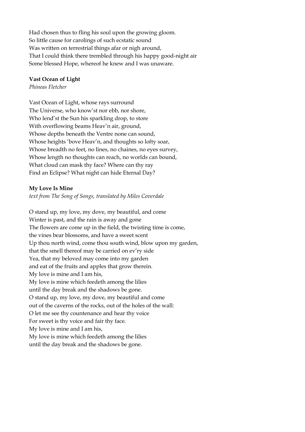Had chosen thus to fling his soul upon the growing gloom. So little cause for carolings of such ecstatic sound Was written on terrestrial things afar or nigh around, That I could think there trembled through his happy good-night air Some blessed Hope, whereof he knew and I was unaware.

# **Vast Ocean of Light**

*Phineas Fletcher*

Vast Ocean of Light, whose rays surround The Universe, who know'st nor ebb, nor shore, Who lend'st the Sun his sparkling drop, to store With overflowing beams Heav'n air, ground, Whose depths beneath the Ventre none can sound, Whose heights 'bove Heav'n, and thoughts so lofty soar, Whose breadth no feet, no lines, no chaines, no eyes survey, Whose length no thoughts can reach, no worlds can bound, What cloud can mask thy face? Where can thy ray Find an Eclipse? What night can hide Eternal Day?

## **My Love Is Mine**

*text from The Song of Songs, translated by Miles Coverdale*

O stand up, my love, my dove, my beautiful, and come Winter is past, and the rain is away and gone The flowers are come up in the field, the twisting time is come, the vines bear blossoms, and have a sweet scent Up thou north wind, come thou south wind, blow upon my garden, that the smell thereof may be carried on ev'ry side Yea, that my beloved may come into my garden and eat of the fruits and apples that grow therein. My love is mine and I am his, My love is mine which feedeth among the lilies until the day break and the shadows be gone. O stand up, my love, my dove, my beautiful and come out of the caverns of the rocks, out of the holes of the wall: O let me see thy countenance and hear thy voice For sweet is thy voice and fair thy face. My love is mine and I am his, My love is mine which feedeth among the lilies until the day break and the shadows be gone.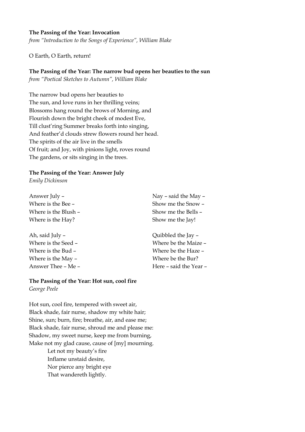## **The Passing of the Year: Invocation**

*from "Introduction to the Songs of Experience", William Blake*

#### O Earth, O Earth, return!

# **The Passing of the Year: The narrow bud opens her beauties to the sun**

*from "Poetical Sketches to Autumn", William Blake*

The narrow bud opens her beauties to The sun, and love runs in her thrilling veins; Blossoms hang round the brows of Morning, and Flourish down the bright cheek of modest Eve, Till clust'ring Summer breaks forth into singing, And feather'd clouds strew flowers round her head. The spirits of the air live in the smells Of fruit; and Joy, with pinions light, roves round The gardens, or sits singing in the trees.

## **The Passing of the Year: Answer July**

*Emily Dickinson*

Answer July – Where is the Bee – Where is the Blush – Where is the Hay?

Ah, said July – Where is the Seed – Where is the Bud – Where is the May – Answer Thee – Me –

# **The Passing of the Year: Hot sun, cool fire** *George Peele*

Hot sun, cool fire, tempered with sweet air, Black shade, fair nurse, shadow my white hair; Shine, sun; burn, fire; breathe, air, and ease me; Black shade, fair nurse, shroud me and please me: Shadow, my sweet nurse, keep me from burning, Make not my glad cause, cause of [my] mourning.

> Let not my beauty's fire Inflame unstaid desire, Nor pierce any bright eye That wandereth lightly.

Nay – said the May – Show me the Snow – Show me the Bells – Show me the Jay!

Quibbled the Jay – Where be the Maize – Where be the Haze – Where be the Bur? Here – said the Year –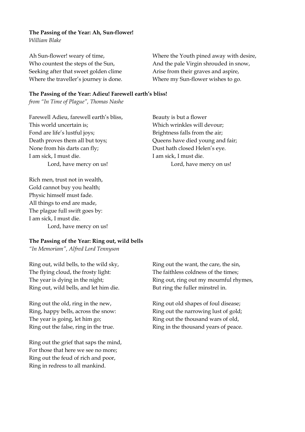## **The Passing of the Year: Ah, Sun-flower!**

*William Blake*

Ah Sun-flower! weary of time, Who countest the steps of the Sun, Seeking after that sweet golden clime Where the traveller's journey is done. Where the Youth pined away with desire, And the pale Virgin shrouded in snow, Arise from their graves and aspire, Where my Sun-flower wishes to go.

# **The Passing of the Year: Adieu! Farewell earth's bliss!**

*from "In Time of Plague", Thomas Nashe*

Farewell Adieu, farewell earth's bliss, This world uncertain is; Fond are life's lustful joys; Death proves them all but toys; None from his darts can fly; I am sick, I must die. Lord, have mercy on us!

Rich men, trust not in wealth, Gold cannot buy you health; Physic himself must fade. All things to end are made, The plague full swift goes by: I am sick, I must die. Lord, have mercy on us! Beauty is but a flower Which wrinkles will devour; Brightness falls from the air; Queens have died young and fair; Dust hath closed Helen's eye. I am sick, I must die. Lord, have mercy on us!

# **The Passing of the Year: Ring out, wild bells**

*"In Memoriam", Alfred Lord Tennyson*

Ring out, wild bells, to the wild sky, The flying cloud, the frosty light: The year is dying in the night; Ring out, wild bells, and let him die.

Ring out the old, ring in the new, Ring, happy bells, across the snow: The year is going, let him go; Ring out the false, ring in the true.

Ring out the grief that saps the mind, For those that here we see no more; Ring out the feud of rich and poor, Ring in redress to all mankind.

Ring out the want, the care, the sin, The faithless coldness of the times; Ring out, ring out my mournful rhymes, But ring the fuller minstrel in.

Ring out old shapes of foul disease; Ring out the narrowing lust of gold; Ring out the thousand wars of old, Ring in the thousand years of peace.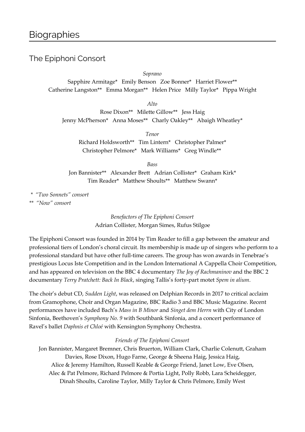# The Epiphoni Consort

*Soprano*

Sapphire Armitage\* Emily Benson Zoe Bonner\* Harriet Flower\*\* Catherine Langston\*\* Emma Morgan\*\* Helen Price Milly Taylor\* Pippa Wright

*Alto*

Rose Dixon\*\* Milette Gillow\*\* Jess Haig Jenny McPherson\* Anna Moses\*\* Charly Oakley\*\* Abaigh Wheatley\*

*Tenor*

Richard Holdsworth\*\* Tim Lintern\* Christopher Palmer\* Christopher Pelmore\* Mark Williams\* Greg Windle\*\*

*Bass* Jon Bannister\*\* Alexander Brett Adrian Collister\* Graham Kirk\* Tim Reader\* Matthew Shoults\*\* Matthew Swann\*

 *\* "Two Sonnets" consort*

*\*\* "Now" consort*

*Benefactors of The Epiphoni Consort* Adrian Collister, Morgan Simes, Rufus Stilgoe

The Epiphoni Consort was founded in 2014 by Tim Reader to fill a gap between the amateur and professional tiers of London's choral circuit. Its membership is made up of singers who perform to a professional standard but have other full-time careers. The group has won awards in Tenebrae's prestigious Locus Iste Competition and in the London International A Cappella Choir Competition, and has appeared on television on the BBC 4 documentary *The Joy of Rachmaninov* and the BBC 2 documentary *Terry Pratchett: Back In Black*, singing Tallis's forty-part motet *Spem in alium*.

The choir's debut CD, *Sudden Light*, was released on Delphian Records in 2017 to critical acclaim from Gramophone, Choir and Organ Magazine, BBC Radio 3 and BBC Music Magazine. Recent performances have included Bach's *Mass in B Minor* and *Singet dem Herrn* with City of London Sinfonia, Beethoven's *Symphony No. 9* with Southbank Sinfonia, and a concert performance of Ravel's ballet *Daphnis et Chloé* with Kensington Symphony Orchestra.

# *Friends of The Epiphoni Consort*

Jon Bannister, Margaret Bremner, Chris Bruerton, William Clark, Charlie Colenutt, Graham Davies, Rose Dixon, Hugo Farne, George & Sheena Haig, Jessica Haig, Alice & Jeremy Hamilton, Russell Keable & George Friend, Janet Low, Eve Olsen, Alec & Pat Pelmore, Richard Pelmore & Portia Light, Polly Robb, Lara Scheidegger, Dinah Shoults, Caroline Taylor, Milly Taylor & Chris Pelmore, Emily West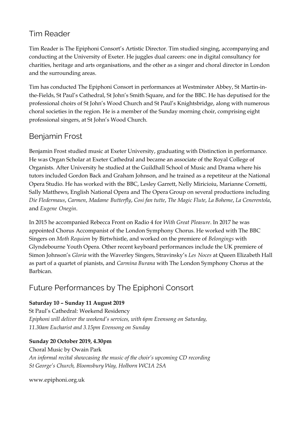# Tim Reader

Tim Reader is The Epiphoni Consort's Artistic Director. Tim studied singing, accompanying and conducting at the University of Exeter. He juggles dual careers: one in digital consultancy for charities, heritage and arts organisations, and the other as a singer and choral director in London and the surrounding areas.

Tim has conducted The Epiphoni Consort in performances at Westminster Abbey, St Martin-inthe-Fields, St Paul's Cathedral, St John's Smith Square, and for the BBC. He has deputised for the professional choirs of St John's Wood Church and St Paul's Knightsbridge, along with numerous choral societies in the region. He is a member of the Sunday morning choir, comprising eight professional singers, at St John's Wood Church.

# Benjamin Frost

Benjamin Frost studied music at Exeter University, graduating with Distinction in performance. He was Organ Scholar at Exeter Cathedral and became an associate of the Royal College of Organists. After University he studied at the Guildhall School of Music and Drama where his tutors included Gordon Back and Graham Johnson, and he trained as a repetiteur at the National Opera Studio. He has worked with the BBC, Lesley Garrett, Nelly Miricioiu, Marianne Cornetti, Sally Matthews, English National Opera and The Opera Group on several productions including *Die Fledermaus*, *Carmen*, *Madame Butterfly*, *Cosi fan tutte*, *The Magic Flute*, *La Boheme*, *La Cenerentola*, and *Eugene Onegin*.

In 2015 he accompanied Rebecca Front on Radio 4 for *With Great Pleasure*. In 2017 he was appointed Chorus Accompanist of the London Symphony Chorus. He worked with The BBC Singers on *Moth Requiem* by Birtwhistle, and worked on the premiere of *Belongings* with Glyndebourne Youth Opera. Other recent keyboard performances include the UK premiere of Simon Johnson's *Gloria* with the Waverley Singers, Stravinsky's *Les Noces* at Queen Elizabeth Hall as part of a quartet of pianists, and *Carmina Burana* with The London Symphony Chorus at the Barbican.

# Future Performances by The Epiphoni Consort

# **Saturday 10 – Sunday 11 August 2019**

St Paul's Cathedral: Weekend Residency *Epiphoni will deliver the weekend's services, with 6pm Evensong on Saturday, 11.30am Eucharist and 3.15pm Evensong on Sunday*

# **Sunday 20 October 2019, 4.30pm**

Choral Music by Owain Park *An informal recital showcasing the music of the choir's upcoming CD recording St George's Church, Bloomsbury Way, Holborn WC1A 2SA*

www.epiphoni.org.uk